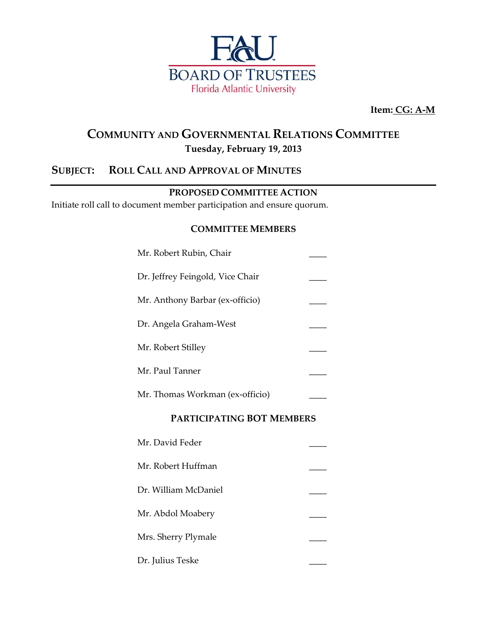

**Item: CG: A-M**

## **COMMUNITY AND GOVERNMENTAL RELATIONS COMMITTEE Tuesday, February 19, 2013**

## **SUBJECT: ROLL CALL AND APPROVAL OF MINUTES**

#### **PROPOSED COMMITTEE ACTION**

Initiate roll call to document member participation and ensure quorum.

#### **COMMITTEE MEMBERS**

| Mr. Robert Rubin, Chair          |  |
|----------------------------------|--|
| Dr. Jeffrey Feingold, Vice Chair |  |
| Mr. Anthony Barbar (ex-officio)  |  |
| Dr. Angela Graham-West           |  |
| Mr. Robert Stilley               |  |
| Mr. Paul Tanner                  |  |
| Mr. Thomas Workman (ex-officio)  |  |

#### **PARTICIPATING BOT MEMBERS**

| Mr. David Feder      |  |
|----------------------|--|
| Mr. Robert Huffman   |  |
| Dr. William McDaniel |  |
| Mr. Abdol Moabery    |  |
| Mrs. Sherry Plymale  |  |
| Dr. Julius Teske     |  |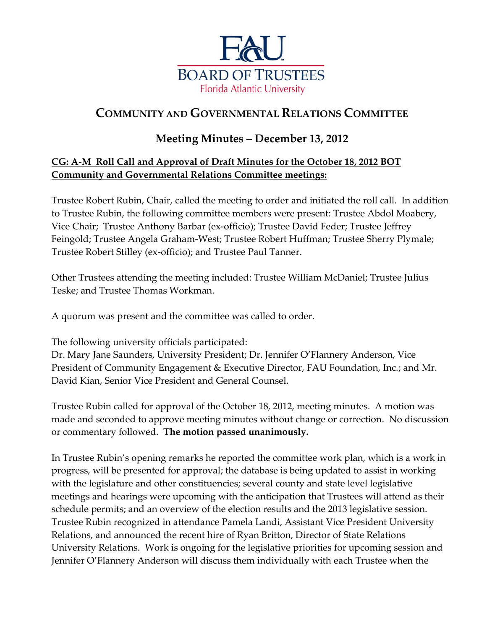

# **COMMUNITY AND GOVERNMENTAL RELATIONS COMMITTEE**

## **Meeting Minutes – December 13, 2012**

## **CG: A-M Roll Call and Approval of Draft Minutes for the October 18, 2012 BOT Community and Governmental Relations Committee meetings:**

Trustee Robert Rubin, Chair, called the meeting to order and initiated the roll call. In addition to Trustee Rubin, the following committee members were present: Trustee Abdol Moabery, Vice Chair; Trustee Anthony Barbar (ex-officio); Trustee David Feder; Trustee Jeffrey Feingold; Trustee Angela Graham-West; Trustee Robert Huffman; Trustee Sherry Plymale; Trustee Robert Stilley (ex-officio); and Trustee Paul Tanner.

Other Trustees attending the meeting included: Trustee William McDaniel; Trustee Julius Teske; and Trustee Thomas Workman.

A quorum was present and the committee was called to order.

The following university officials participated:

Dr. Mary Jane Saunders, University President; Dr. Jennifer O'Flannery Anderson, Vice President of Community Engagement & Executive Director, FAU Foundation, Inc.; and Mr. David Kian, Senior Vice President and General Counsel.

Trustee Rubin called for approval of the October 18, 2012, meeting minutes. A motion was made and seconded to approve meeting minutes without change or correction. No discussion or commentary followed. **The motion passed unanimously.**

In Trustee Rubin's opening remarks he reported the committee work plan, which is a work in progress, will be presented for approval; the database is being updated to assist in working with the legislature and other constituencies; several county and state level legislative meetings and hearings were upcoming with the anticipation that Trustees will attend as their schedule permits; and an overview of the election results and the 2013 legislative session. Trustee Rubin recognized in attendance Pamela Landi, Assistant Vice President University Relations, and announced the recent hire of Ryan Britton, Director of State Relations University Relations. Work is ongoing for the legislative priorities for upcoming session and Jennifer O'Flannery Anderson will discuss them individually with each Trustee when the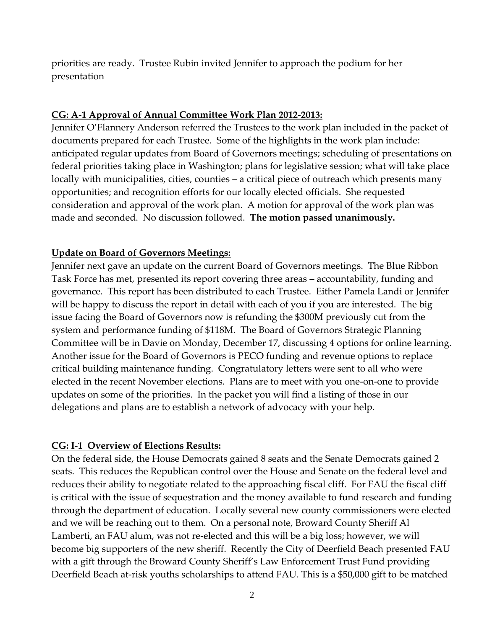priorities are ready. Trustee Rubin invited Jennifer to approach the podium for her presentation

#### **CG: A-1 Approval of Annual Committee Work Plan 2012-2013:**

Jennifer O'Flannery Anderson referred the Trustees to the work plan included in the packet of documents prepared for each Trustee. Some of the highlights in the work plan include: anticipated regular updates from Board of Governors meetings; scheduling of presentations on federal priorities taking place in Washington; plans for legislative session; what will take place locally with municipalities, cities, counties – a critical piece of outreach which presents many opportunities; and recognition efforts for our locally elected officials. She requested consideration and approval of the work plan. A motion for approval of the work plan was made and seconded. No discussion followed. **The motion passed unanimously.**

#### **Update on Board of Governors Meetings:**

Jennifer next gave an update on the current Board of Governors meetings. The Blue Ribbon Task Force has met, presented its report covering three areas – accountability, funding and governance. This report has been distributed to each Trustee. Either Pamela Landi or Jennifer will be happy to discuss the report in detail with each of you if you are interested. The big issue facing the Board of Governors now is refunding the \$300M previously cut from the system and performance funding of \$118M. The Board of Governors Strategic Planning Committee will be in Davie on Monday, December 17, discussing 4 options for online learning. Another issue for the Board of Governors is PECO funding and revenue options to replace critical building maintenance funding. Congratulatory letters were sent to all who were elected in the recent November elections. Plans are to meet with you one-on-one to provide updates on some of the priorities. In the packet you will find a listing of those in our delegations and plans are to establish a network of advocacy with your help.

#### **CG: I-1 Overview of Elections Results:**

On the federal side, the House Democrats gained 8 seats and the Senate Democrats gained 2 seats. This reduces the Republican control over the House and Senate on the federal level and reduces their ability to negotiate related to the approaching fiscal cliff. For FAU the fiscal cliff is critical with the issue of sequestration and the money available to fund research and funding through the department of education. Locally several new county commissioners were elected and we will be reaching out to them. On a personal note, Broward County Sheriff Al Lamberti, an FAU alum, was not re-elected and this will be a big loss; however, we will become big supporters of the new sheriff. Recently the City of Deerfield Beach presented FAU with a gift through the Broward County Sheriff's Law Enforcement Trust Fund providing Deerfield Beach at-risk youths scholarships to attend FAU. This is a \$50,000 gift to be matched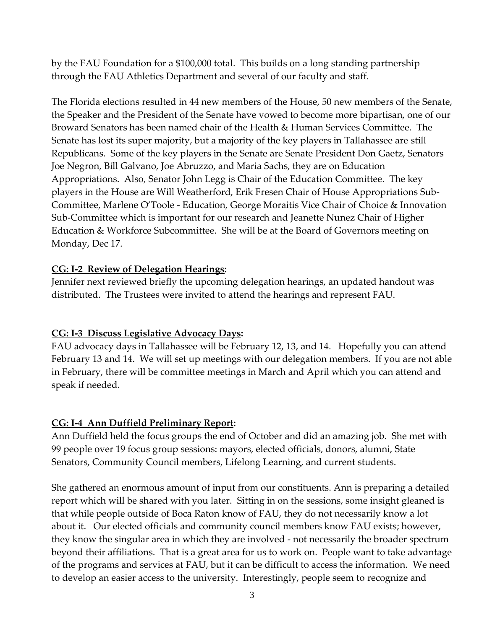by the FAU Foundation for a \$100,000 total. This builds on a long standing partnership through the FAU Athletics Department and several of our faculty and staff.

The Florida elections resulted in 44 new members of the House, 50 new members of the Senate, the Speaker and the President of the Senate have vowed to become more bipartisan, one of our Broward Senators has been named chair of the Health & Human Services Committee. The Senate has lost its super majority, but a majority of the key players in Tallahassee are still Republicans. Some of the key players in the Senate are Senate President Don Gaetz, Senators Joe Negron, Bill Galvano, Joe Abruzzo, and Maria Sachs, they are on Education Appropriations. Also, Senator John Legg is Chair of the Education Committee. The key players in the House are Will Weatherford, Erik Fresen Chair of House Appropriations Sub-Committee, Marlene O'Toole - Education, George Moraitis Vice Chair of Choice & Innovation Sub-Committee which is important for our research and Jeanette Nunez Chair of Higher Education & Workforce Subcommittee. She will be at the Board of Governors meeting on Monday, Dec 17.

## **CG: I-2 Review of Delegation Hearings:**

Jennifer next reviewed briefly the upcoming delegation hearings, an updated handout was distributed. The Trustees were invited to attend the hearings and represent FAU.

## **CG: I-3 Discuss Legislative Advocacy Days:**

FAU advocacy days in Tallahassee will be February 12, 13, and 14. Hopefully you can attend February 13 and 14. We will set up meetings with our delegation members. If you are not able in February, there will be committee meetings in March and April which you can attend and speak if needed.

## **CG: I-4 Ann Duffield Preliminary Report:**

Ann Duffield held the focus groups the end of October and did an amazing job. She met with 99 people over 19 focus group sessions: mayors, elected officials, donors, alumni, State Senators, Community Council members, Lifelong Learning, and current students.

She gathered an enormous amount of input from our constituents. Ann is preparing a detailed report which will be shared with you later. Sitting in on the sessions, some insight gleaned is that while people outside of Boca Raton know of FAU, they do not necessarily know a lot about it. Our elected officials and community council members know FAU exists; however, they know the singular area in which they are involved - not necessarily the broader spectrum beyond their affiliations. That is a great area for us to work on. People want to take advantage of the programs and services at FAU, but it can be difficult to access the information. We need to develop an easier access to the university. Interestingly, people seem to recognize and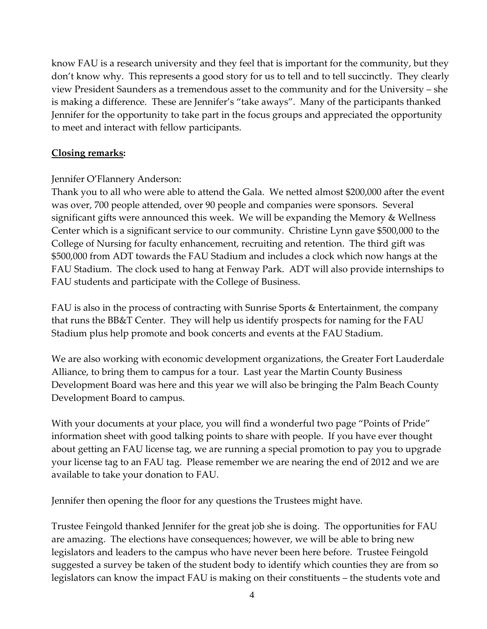know FAU is a research university and they feel that is important for the community, but they don't know why. This represents a good story for us to tell and to tell succinctly. They clearly view President Saunders as a tremendous asset to the community and for the University – she is making a difference. These are Jennifer's "take aways". Many of the participants thanked Jennifer for the opportunity to take part in the focus groups and appreciated the opportunity to meet and interact with fellow participants.

#### **Closing remarks:**

### Jennifer O'Flannery Anderson:

Thank you to all who were able to attend the Gala. We netted almost \$200,000 after the event was over, 700 people attended, over 90 people and companies were sponsors. Several significant gifts were announced this week. We will be expanding the Memory & Wellness Center which is a significant service to our community. Christine Lynn gave \$500,000 to the College of Nursing for faculty enhancement, recruiting and retention. The third gift was \$500,000 from ADT towards the FAU Stadium and includes a clock which now hangs at the FAU Stadium. The clock used to hang at Fenway Park. ADT will also provide internships to FAU students and participate with the College of Business.

FAU is also in the process of contracting with Sunrise Sports & Entertainment, the company that runs the BB&T Center. They will help us identify prospects for naming for the FAU Stadium plus help promote and book concerts and events at the FAU Stadium.

We are also working with economic development organizations, the Greater Fort Lauderdale Alliance, to bring them to campus for a tour. Last year the Martin County Business Development Board was here and this year we will also be bringing the Palm Beach County Development Board to campus.

With your documents at your place, you will find a wonderful two page "Points of Pride" information sheet with good talking points to share with people. If you have ever thought about getting an FAU license tag, we are running a special promotion to pay you to upgrade your license tag to an FAU tag. Please remember we are nearing the end of 2012 and we are available to take your donation to FAU.

Jennifer then opening the floor for any questions the Trustees might have.

Trustee Feingold thanked Jennifer for the great job she is doing. The opportunities for FAU are amazing. The elections have consequences; however, we will be able to bring new legislators and leaders to the campus who have never been here before. Trustee Feingold suggested a survey be taken of the student body to identify which counties they are from so legislators can know the impact FAU is making on their constituents – the students vote and